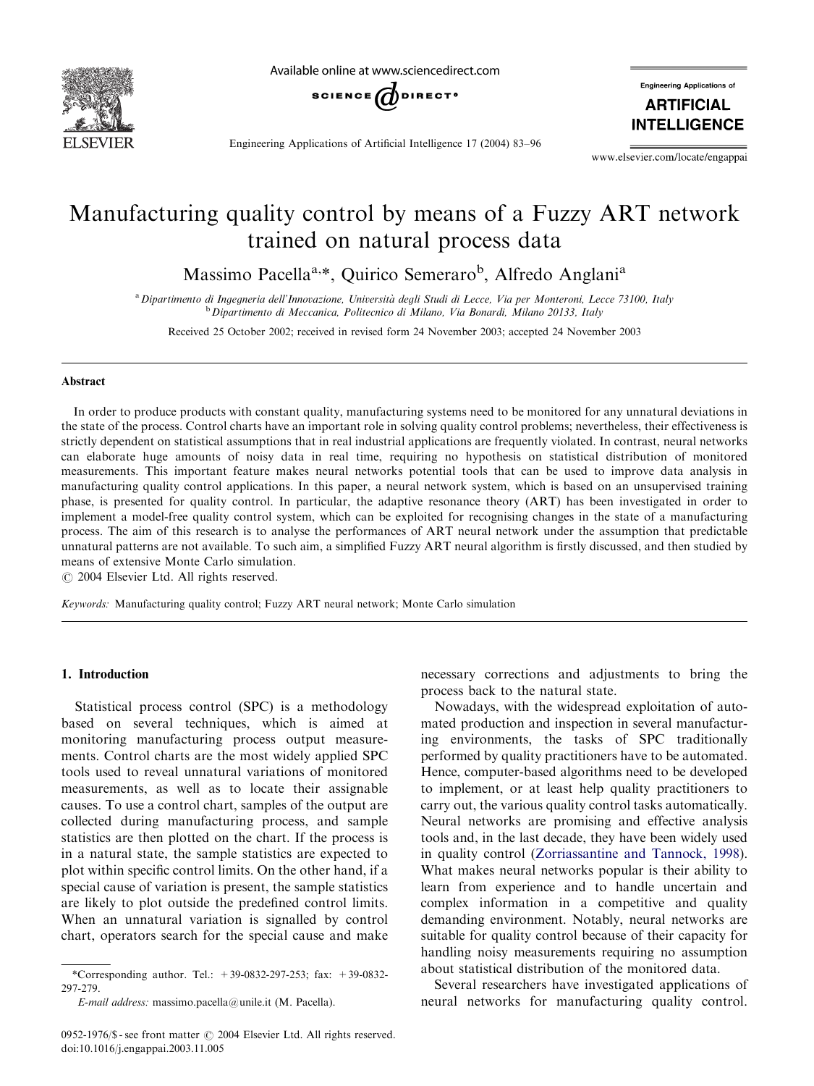

Available online at www.sciencedirect.com



Engineering Applications of Artificial Intelligence 17 (2004) 83–96

Engineering Applications of **ARTIFICIAL INTELLIGENCE** 

www.elsevier.com/locate/engappai

## Manufacturing quality control by means of a Fuzzy ART network trained on natural process data

Massimo Pacella<sup>a,\*</sup>, Quirico Semeraro<sup>b</sup>, Alfredo Anglani<sup>a</sup>

a<br>Dipartimento di Ingegneria dell'Innovazione, Università degli Studi di Lecce, Via per Monteroni, Lecce 73100, Italy <sup>b</sup> Dipartimento di Meccanica, Politecnico di Milano, Via Bonardi, Milano 20133, Italy

Received 25 October 2002; received in revised form 24 November 2003; accepted 24 November 2003

#### Abstract

In order to produce products with constant quality, manufacturing systems need to be monitored for any unnatural deviations in the state of the process. Control charts have an important role in solving quality control problems; nevertheless, their effectiveness is strictly dependent on statistical assumptions that in real industrial applications are frequently violated. In contrast, neural networks can elaborate huge amounts of noisy data in real time, requiring no hypothesis on statistical distribution of monitored measurements. This important feature makes neural networks potential tools that can be used to improve data analysis in manufacturing quality control applications. In this paper, a neural network system, which is based on an unsupervised training phase, is presented for quality control. In particular, the adaptive resonance theory (ART) has been investigated in order to implement a model-free quality control system, which can be exploited for recognising changes in the state of a manufacturing process. The aim of this research is to analyse the performances of ART neural network under the assumption that predictable unnatural patterns are not available. To such aim, a simplified Fuzzy ART neural algorithm is firstly discussed, and then studied by means of extensive Monte Carlo simulation.

 $\odot$  2004 Elsevier Ltd. All rights reserved.

Keywords: Manufacturing quality control; Fuzzy ART neural network; Monte Carlo simulation

### 1. Introduction

Statistical process control (SPC) is a methodology based on several techniques, which is aimed at monitoring manufacturing process output measurements. Control charts are the most widely applied SPC tools used to reveal unnatural variations of monitored measurements, as well as to locate their assignable causes. To use a control chart, samples of the output are collected during manufacturing process, and sample statistics are then plotted on the chart. If the process is in a natural state, the sample statistics are expected to plot within specific control limits. On the other hand, if a special cause of variation is present, the sample statistics are likely to plot outside the predefined control limits. When an unnatural variation is signalled by control chart, operators search for the special cause and make

\*Corresponding author. Tel.: +39-0832-297-253; fax: +39-0832- 297-279.

necessary corrections and adjustments to bring the process back to the natural state.

Nowadays, with the widespread exploitation of automated production and inspection in several manufacturing environments, the tasks of SPC traditionally performed by quality practitioners have to be automated. Hence, computer-based algorithms need to be developed to implement, or at least help quality practitioners to carry out, the various quality control tasks automatically. Neural networks are promising and effective analysis tools and, in the last decade, they have been widely used in quality control ([Zorriassantine and Tannock, 1998](#page--1-0)). What makes neural networks popular is their ability to learn from experience and to handle uncertain and complex information in a competitive and quality demanding environment. Notably, neural networks are suitable for quality control because of their capacity for handling noisy measurements requiring no assumption about statistical distribution of the monitored data.

Several researchers have investigated applications of neural networks for manufacturing quality control.

E-mail address: massimo.pacella@unile.it (M. Pacella).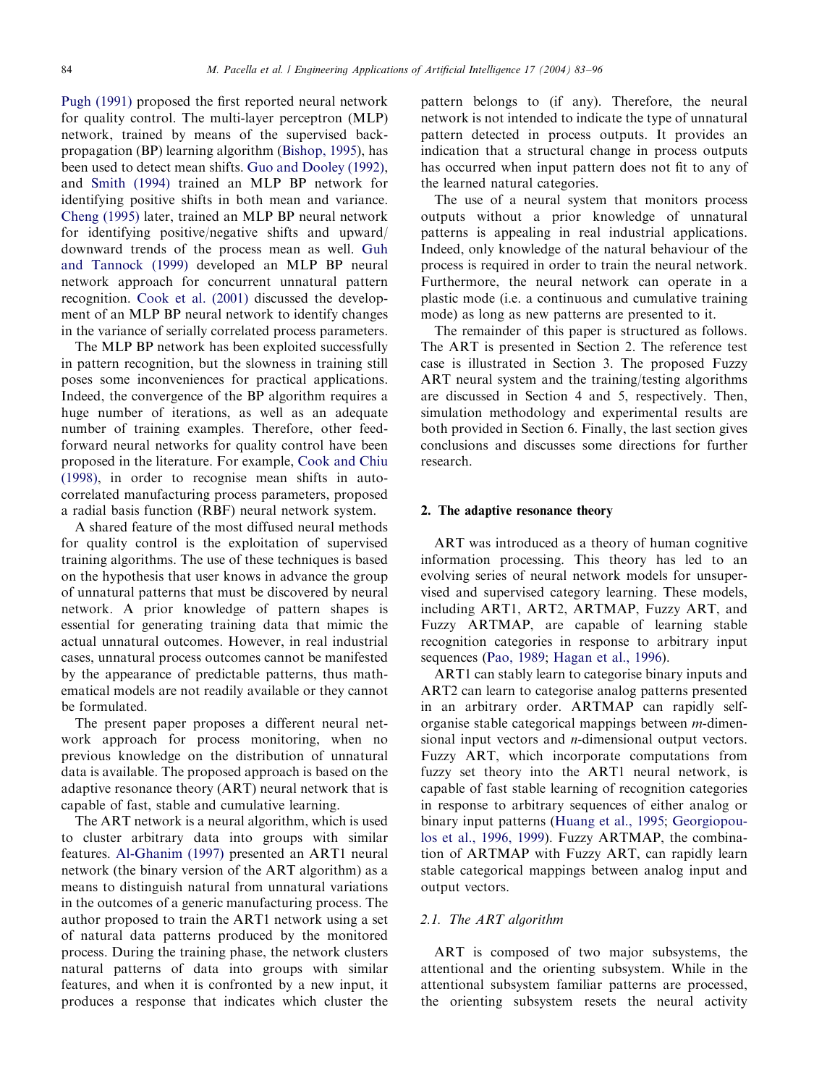[Pugh \(1991\)](#page--1-0) proposed the first reported neural network for quality control. The multi-layer perceptron (MLP) network, trained by means of the supervised backpropagation (BP) learning algorithm [\(Bishop, 1995](#page--1-0)), has been used to detect mean shifts. [Guo and Dooley \(1992\)](#page--1-0), and [Smith \(1994\)](#page--1-0) trained an MLP BP network for identifying positive shifts in both mean and variance. [Cheng \(1995\)](#page--1-0) later, trained an MLP BP neural network for identifying positive/negative shifts and upward/ downward trends of the process mean as well. [Guh](#page--1-0) [and Tannock \(1999\)](#page--1-0) developed an MLP BP neural network approach for concurrent unnatural pattern recognition. [Cook et al. \(2001\)](#page--1-0) discussed the development of an MLP BP neural network to identify changes in the variance of serially correlated process parameters.

The MLP BP network has been exploited successfully in pattern recognition, but the slowness in training still poses some inconveniences for practical applications. Indeed, the convergence of the BP algorithm requires a huge number of iterations, as well as an adequate number of training examples. Therefore, other feedforward neural networks for quality control have been proposed in the literature. For example, [Cook and Chiu](#page--1-0) [\(1998\)](#page--1-0), in order to recognise mean shifts in autocorrelated manufacturing process parameters, proposed a radial basis function (RBF) neural network system.

A shared feature of the most diffused neural methods for quality control is the exploitation of supervised training algorithms. The use of these techniques is based on the hypothesis that user knows in advance the group of unnatural patterns that must be discovered by neural network. A prior knowledge of pattern shapes is essential for generating training data that mimic the actual unnatural outcomes. However, in real industrial cases, unnatural process outcomes cannot be manifested by the appearance of predictable patterns, thus mathematical models are not readily available or they cannot be formulated.

The present paper proposes a different neural network approach for process monitoring, when no previous knowledge on the distribution of unnatural data is available. The proposed approach is based on the adaptive resonance theory (ART) neural network that is capable of fast, stable and cumulative learning.

The ART network is a neural algorithm, which is used to cluster arbitrary data into groups with similar features. [Al-Ghanim \(1997\)](#page--1-0) presented an ART1 neural network (the binary version of the ART algorithm) as a means to distinguish natural from unnatural variations in the outcomes of a generic manufacturing process. The author proposed to train the ART1 network using a set of natural data patterns produced by the monitored process. During the training phase, the network clusters natural patterns of data into groups with similar features, and when it is confronted by a new input, it produces a response that indicates which cluster the pattern belongs to (if any). Therefore, the neural network is not intended to indicate the type of unnatural pattern detected in process outputs. It provides an indication that a structural change in process outputs has occurred when input pattern does not fit to any of the learned natural categories.

The use of a neural system that monitors process outputs without a prior knowledge of unnatural patterns is appealing in real industrial applications. Indeed, only knowledge of the natural behaviour of the process is required in order to train the neural network. Furthermore, the neural network can operate in a plastic mode (i.e. a continuous and cumulative training mode) as long as new patterns are presented to it.

The remainder of this paper is structured as follows. The ART is presented in Section 2. The reference test case is illustrated in Section 3. The proposed Fuzzy ART neural system and the training/testing algorithms are discussed in Section 4 and 5, respectively. Then, simulation methodology and experimental results are both provided in Section 6. Finally, the last section gives conclusions and discusses some directions for further research.

#### 2. The adaptive resonance theory

ART was introduced as a theory of human cognitive information processing. This theory has led to an evolving series of neural network models for unsupervised and supervised category learning. These models, including ART1, ART2, ARTMAP, Fuzzy ART, and Fuzzy ARTMAP, are capable of learning stable recognition categories in response to arbitrary input sequences [\(Pao, 1989;](#page--1-0) [Hagan et al., 1996](#page--1-0)).

ART1 can stably learn to categorise binary inputs and ART2 can learn to categorise analog patterns presented in an arbitrary order. ARTMAP can rapidly selforganise stable categorical mappings between m-dimensional input vectors and *n*-dimensional output vectors. Fuzzy ART, which incorporate computations from fuzzy set theory into the ART1 neural network, is capable of fast stable learning of recognition categories in response to arbitrary sequences of either analog or binary input patterns ([Huang et al., 1995;](#page--1-0) [Georgiopou](#page--1-0)[los et al., 1996, 1999](#page--1-0)). Fuzzy ARTMAP, the combination of ARTMAP with Fuzzy ART, can rapidly learn stable categorical mappings between analog input and output vectors.

#### 2.1. The ART algorithm

ART is composed of two major subsystems, the attentional and the orienting subsystem. While in the attentional subsystem familiar patterns are processed, the orienting subsystem resets the neural activity